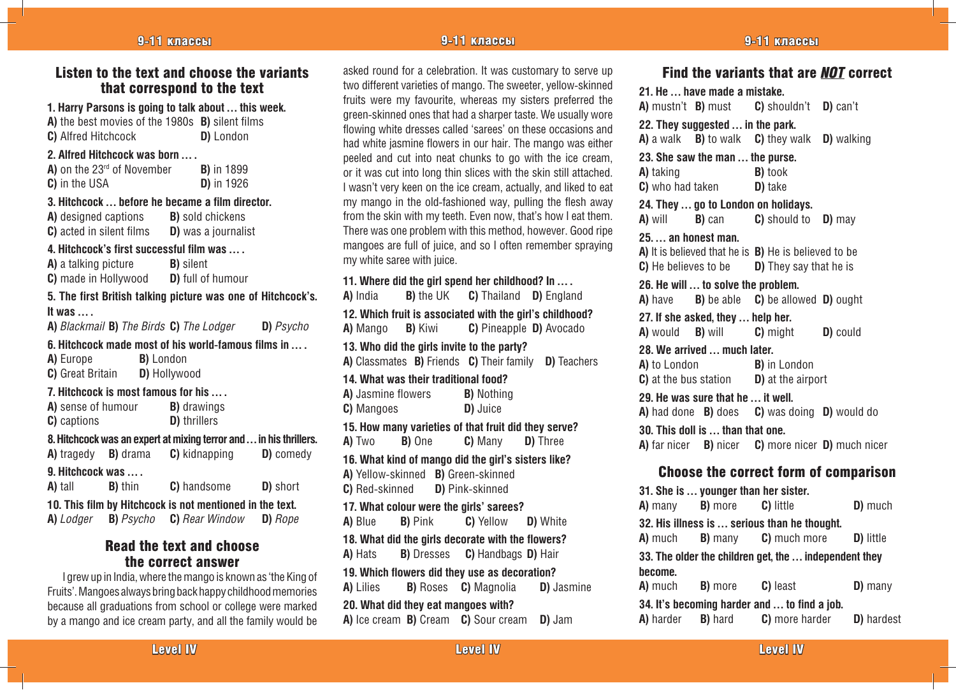## Listen to the text and choose the variants that correspond to the text

| 1. Harry Parsons is going to talk about  this week.<br>A) the best movies of the 1980s B) silent films<br>C) Alfred Hitchcock<br>D) London |                                                   |                                                |  |  |  |  |
|--------------------------------------------------------------------------------------------------------------------------------------------|---------------------------------------------------|------------------------------------------------|--|--|--|--|
| 2. Alfred Hitchcock was born  .                                                                                                            |                                                   |                                                |  |  |  |  |
| A) on the $23rd$ of November B) in 1899                                                                                                    |                                                   |                                                |  |  |  |  |
| C) in the USA                                                                                                                              |                                                   | $D)$ in 1926                                   |  |  |  |  |
| 3. Hitchcock  before he became a film director.<br>A) designed captions B) sold chickens<br>C) acted in silent films  D) was a journalist  |                                                   |                                                |  |  |  |  |
|                                                                                                                                            |                                                   |                                                |  |  |  |  |
| 4. Hitchcock's first successful film was  .                                                                                                |                                                   |                                                |  |  |  |  |
| <b>A)</b> a talking picture <b>B</b> ) silent<br>C) made in Hollywood D) full of humour                                                    |                                                   |                                                |  |  |  |  |
| 5. The first British talking picture was one of Hitchcock's.                                                                               |                                                   |                                                |  |  |  |  |
| It was $\ldots$                                                                                                                            |                                                   |                                                |  |  |  |  |
|                                                                                                                                            | A) Blackmail B) The Birds C) The Lodger D) Psycho |                                                |  |  |  |  |
| 6. Hitchcock made most of his world-famous films in                                                                                        |                                                   |                                                |  |  |  |  |
| A) Europe B) London                                                                                                                        |                                                   |                                                |  |  |  |  |
| C) Great Britain D) Hollywood                                                                                                              |                                                   |                                                |  |  |  |  |
| 7. Hitchcock is most famous for his                                                                                                        |                                                   |                                                |  |  |  |  |
|                                                                                                                                            |                                                   | <b>A</b> ) sense of humour <b>B</b> ) drawings |  |  |  |  |
| C) captions                                                                                                                                |                                                   | <b>D)</b> thrillers                            |  |  |  |  |
| 8. Hitchcock was an expert at mixing terror and  in his thrillers.                                                                         |                                                   |                                                |  |  |  |  |
|                                                                                                                                            |                                                   | A) tragedy B) drama C) kidnapping D) comedy    |  |  |  |  |
| 9. Hitchcock was                                                                                                                           |                                                   |                                                |  |  |  |  |
|                                                                                                                                            | <b>A</b> ) tall <b>B</b> ) thin                   | <b>C</b> ) handsome <b>D</b> ) short           |  |  |  |  |

**10. This film by Hitchcock is not mentioned in the text. A)** *Lodger* **B)** *Psycho* **C)** *Rear Window* **D)** *Rope*

## Read the text and choose the correct answer

I grew up in India, where the mango is known as 'the King of Fruits'. Mangoes always bring back happy childhood memories because all graduations from school or college were marked by a mango and ice cream party, and all the family would be

asked round for a celebration. It was customary to serve up two different varieties of mango. The sweeter, yellow-skinned fruits were my favourite, whereas my sisters preferred the green-skinned ones that had a sharper taste. We usually wore flowing white dresses called 'sarees' on these occasions and had white jasmine flowers in our hair. The mango was either peeled and cut into neat chunks to go with the ice cream, or it was cut into long thin slices with the skin still attached. I wasn't very keen on the ice cream, actually, and liked to eat my mango in the old-fashioned way, pulling the flesh away from the skin with my teeth. Even now, that's how I eat them. There was one problem with this method, however. Good ripe mangoes are full of juice, and so I often remember spraying my white saree with juice.

## **11. Where did the girl spend her childhood? In … . A)** India **B)** the UK **C)** Thailand **D)** England **12. Which fruit is associated with the girl's childhood? A)** Mango **B)** Kiwi **C)** Pineapple **D)** Avocado **13. Who did the girls invite to the party? A)** Classmates **B)** Friends **C)** Their family **D)** Teachers **14. What was their traditional food? A)** Jasmine flowers **B)** Nothing **C)** Mangoes **D)** Juice **15. How many varieties of that fruit did they serve? A)** Two **B)** One **C)** Many **D)** Three **16. What kind of mango did the girl's sisters like? A)** Yellow-skinned **B)** Green-skinned **C)** Red-skinned **D)** Pink-skinned

**17. What colour were the girls' sarees? A)** Blue **B)** Pink **C)** Yellow **D)** White **18. What did the girls decorate with the flowers? A)** Hats **B)** Dresses **C)** Handbags **D)** Hair **19. Which flowers did they use as decoration?**

**A)** Lilies **B)** Roses **C)** Magnolia **D)** Jasmine **20. What did they eat mangoes with? A)** Ice cream **B)** Cream **C)** Sour cream **D)** Jam

## Find the variants that are *NOT* correct

**21. He … have made a mistake.**

|                                                       | . avo aao a o.a                  | A) mustn't <b>B</b> ) must <b>C</b> ) shouldn't <b>D</b> ) can't  |                                                   |  |  |  |
|-------------------------------------------------------|----------------------------------|-------------------------------------------------------------------|---------------------------------------------------|--|--|--|
| 22. They suggested  in the park.                      |                                  |                                                                   |                                                   |  |  |  |
|                                                       |                                  | A) a walk B) to walk C) they walk D) walking                      |                                                   |  |  |  |
|                                                       | 23. She saw the man  the purse.  |                                                                   |                                                   |  |  |  |
| A) taking                                             |                                  | B) took                                                           |                                                   |  |  |  |
|                                                       | <b>C</b> ) who had taken         | D) take                                                           |                                                   |  |  |  |
|                                                       |                                  | 24. They  go to London on holidays.                               |                                                   |  |  |  |
| A) will B) can                                        |                                  | <b>C</b> ) should to <b>D</b> ) may                               |                                                   |  |  |  |
| 25. an honest man.                                    |                                  |                                                                   |                                                   |  |  |  |
|                                                       |                                  | A) It is believed that he is B) He is believed to be              |                                                   |  |  |  |
|                                                       |                                  | <b>C</b> ) He believes to be <b>D</b> ) They say that he is       |                                                   |  |  |  |
| 26. He will  to solve the problem.                    |                                  |                                                                   |                                                   |  |  |  |
|                                                       |                                  | A) have <b>B</b> ) be able <b>C</b> ) be allowed <b>D</b> ) ought |                                                   |  |  |  |
| 27. If she asked, they  help her.                     |                                  |                                                                   |                                                   |  |  |  |
| A) would B) will                                      |                                  | <b>C</b> ) might <b>D</b> ) could                                 |                                                   |  |  |  |
|                                                       | 28. We arrived  much later.      |                                                                   |                                                   |  |  |  |
|                                                       |                                  | <b>A)</b> to London <b>B)</b> in London                           |                                                   |  |  |  |
|                                                       |                                  | <b>C</b> ) at the bus station $\Box$ <b>D</b> ) at the airport    |                                                   |  |  |  |
| 29. He was sure that he  it well.                     |                                  |                                                                   |                                                   |  |  |  |
|                                                       |                                  | A) had done B) does C) was doing D) would do                      |                                                   |  |  |  |
| 30. This doll is  than that one.                      |                                  |                                                                   |                                                   |  |  |  |
|                                                       |                                  |                                                                   | A) far nicer B) nicer C) more nicer D) much nicer |  |  |  |
| <b>Choose the correct form of comparison</b>          |                                  |                                                                   |                                                   |  |  |  |
|                                                       |                                  | 31. She is  younger than her sister.                              |                                                   |  |  |  |
| A) many                                               | <b>B)</b> more                   | C) little                                                         | D) much                                           |  |  |  |
|                                                       |                                  | 32. His illness is  serious than he thought.                      |                                                   |  |  |  |
| A) much                                               |                                  | <b>B</b> ) many <b>C</b> ) much more                              | D) little                                         |  |  |  |
| 33. The older the children get, the  independent they |                                  |                                                                   |                                                   |  |  |  |
| become.                                               |                                  |                                                                   |                                                   |  |  |  |
| <b>A)</b> much                                        | <b>B</b> ) more <b>C</b> ) least |                                                                   | $D)$ many                                         |  |  |  |
| 34. It's becoming harder and  to find a job.          |                                  |                                                                   |                                                   |  |  |  |
| A) harder                                             | <b>B)</b> hard                   | C) more harder                                                    | D) hardest                                        |  |  |  |

Level IV even a series of the series of the control of the control of the control of the control of the control of the control of the control of the control of the control of the control of the control of the control of th